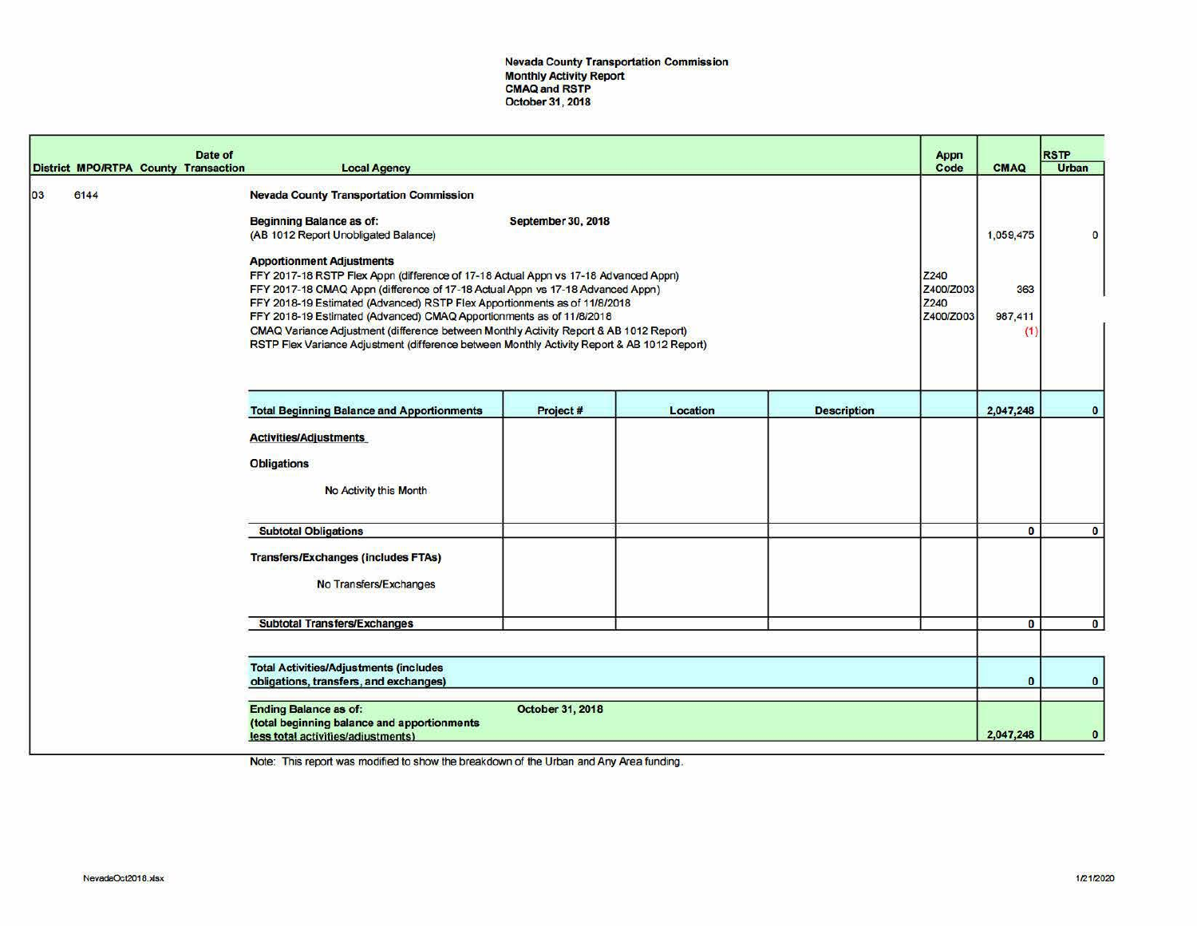Nevada County Transportation Commission Monthly Activity Report CMAQand RSTP October31, 2018

|    |      |  | Date of<br>District MPO/RTPA County Transaction | <b>Local Agency</b>                                                                                                                                                                                                                                                                                                                                                                                                                                                                                                                                                                                                                                                                                                                                         |                         |          |                    | Appn<br>Code | <b>CMAQ</b>                        | <b>RSTP</b><br><b>Urban</b> |
|----|------|--|-------------------------------------------------|-------------------------------------------------------------------------------------------------------------------------------------------------------------------------------------------------------------------------------------------------------------------------------------------------------------------------------------------------------------------------------------------------------------------------------------------------------------------------------------------------------------------------------------------------------------------------------------------------------------------------------------------------------------------------------------------------------------------------------------------------------------|-------------------------|----------|--------------------|--------------|------------------------------------|-----------------------------|
| 03 | 6144 |  |                                                 | <b>Nevada County Transportation Commission</b><br><b>Beginning Balance as of:</b><br><b>September 30, 2018</b><br>(AB 1012 Report Unobligated Balance)<br><b>Apportionment Adjustments</b><br>FFY 2017-18 RSTP Flex Appn (difference of 17-18 Actual Appn vs 17-18 Advanced Appn)<br>Z240<br>FFY 2017-18 CMAQ Appn (difference of 17-18 Actual Appn vs 17-18 Advanced Appn)<br>Z400/Z003<br>FFY 2018-19 Estimated (Advanced) RSTP Flex Apportionments as of 11/8/2018<br>Z240<br>FFY 2018-19 Estimated (Advanced) CMAQ Apportionments as of 11/8/2018<br>Z400/Z003<br>CMAQ Variance Adjustment (difference between Monthly Activity Report & AB 1012 Report)<br>RSTP Flex Variance Adjustment (difference between Monthly Activity Report & AB 1012 Report) |                         |          |                    |              | 1,059,475<br>363<br>987,411<br>(1) | O                           |
|    |      |  |                                                 | <b>Total Beginning Balance and Apportionments</b>                                                                                                                                                                                                                                                                                                                                                                                                                                                                                                                                                                                                                                                                                                           | Project#                | Location | <b>Description</b> |              | 2,047,248                          | $\mathbf{0}$                |
|    |      |  |                                                 | <b>Activities/Adjustments</b><br><b>Obligations</b><br>No Activity this Month                                                                                                                                                                                                                                                                                                                                                                                                                                                                                                                                                                                                                                                                               |                         |          |                    |              |                                    |                             |
|    |      |  |                                                 | <b>Subtotal Obligations</b>                                                                                                                                                                                                                                                                                                                                                                                                                                                                                                                                                                                                                                                                                                                                 |                         |          |                    |              | $\bf{0}$                           | $\bf{0}$                    |
|    |      |  |                                                 | <b>Transfers/Exchanges (includes FTAs)</b><br>No Transfers/Exchanges                                                                                                                                                                                                                                                                                                                                                                                                                                                                                                                                                                                                                                                                                        |                         |          |                    |              |                                    |                             |
|    |      |  |                                                 | <b>Subtotal Transfers/Exchanges</b>                                                                                                                                                                                                                                                                                                                                                                                                                                                                                                                                                                                                                                                                                                                         |                         |          |                    |              | $\bf{0}$                           | $\mathbf{0}$                |
|    |      |  |                                                 |                                                                                                                                                                                                                                                                                                                                                                                                                                                                                                                                                                                                                                                                                                                                                             |                         |          |                    |              |                                    |                             |
|    |      |  |                                                 | <b>Total Activities/Adjustments (includes</b><br>obligations, transfers, and exchanges)                                                                                                                                                                                                                                                                                                                                                                                                                                                                                                                                                                                                                                                                     |                         |          |                    |              | $\bf{0}$                           | $\bullet$                   |
|    |      |  |                                                 | <b>Ending Balance as of:</b><br>(total beginning balance and apportionments<br>less total activities/adjustments)                                                                                                                                                                                                                                                                                                                                                                                                                                                                                                                                                                                                                                           | <b>October 31, 2018</b> |          |                    |              | 2,047,248                          | $\mathbf{0}$                |

Note: This report was modified to show the breakdown of the Urban and Any Area funding.